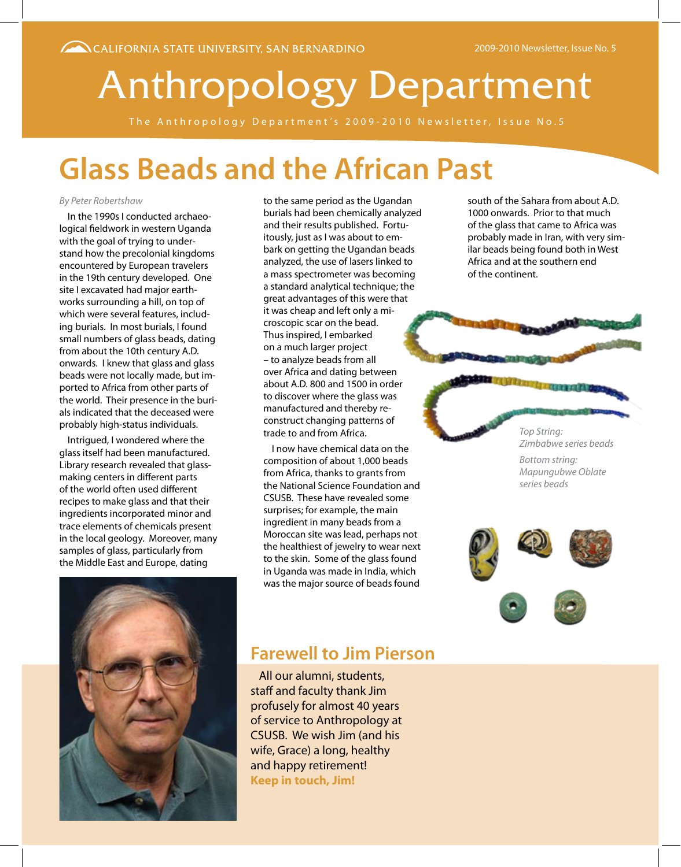# Anthropology Department

The Anthropology Department's 2009-2010 Newsletter, Issue No.5

# **Glass Beads and the African Past**

#### *By Peter Robertshaw*

In the 1990s I conducted archaeological fieldwork in western Uganda with the goal of trying to understand how the precolonial kingdoms encountered by European travelers in the 19th century developed. One site I excavated had major earthworks surrounding a hill, on top of which were several features, including burials. In most burials, I found small numbers of glass beads, dating from about the 10th century A.D. onwards. I knew that glass and glass beads were not locally made, but imported to Africa from other parts of the world. Their presence in the burials indicated that the deceased were probably high-status individuals.

Intrigued, I wondered where the glass itself had been manufactured. Library research revealed that glassmaking centers in different parts of the world often used different recipes to make glass and that their ingredients incorporated minor and trace elements of chemicals present in the local geology. Moreover, many samples of glass, particularly from the Middle East and Europe, dating



to the same period as the Ugandan burials had been chemically analyzed and their results published. Fortuitously, just as I was about to embark on getting the Ugandan beads analyzed, the use of lasers linked to a mass spectrometer was becoming a standard analytical technique; the great advantages of this were that it was cheap and left only a microscopic scar on the bead. Thus inspired, I embarked on a much larger project – to analyze beads from all over Africa and dating between about A.D. 800 and 1500 in order to discover where the glass was manufactured and thereby reconstruct changing patterns of trade to and from Africa.

I now have chemical data on the composition of about 1,000 beads from Africa, thanks to grants from the National Science Foundation and CSUSB. These have revealed some surprises; for example, the main ingredient in many beads from a Moroccan site was lead, perhaps not the healthiest of jewelry to wear next to the skin. Some of the glass found in Uganda was made in India, which was the major source of beads found

south of the Sahara from about A.D. 1000 onwards. Prior to that much of the glass that came to Africa was probably made in Iran, with very similar beads being found both in West Africa and at the southern end of the continent.

> *Top String: Zimbabwe series beads*

*Bottom string: Mapungubwe Oblate series beads*



### **Farewell to Jim Pierson**

All our alumni, students, staff and faculty thank Jim profusely for almost 40 years of service to Anthropology at CSUSB. We wish Jim (and his wife, Grace) a long, healthy and happy retirement! **Keep in touch, Jim!**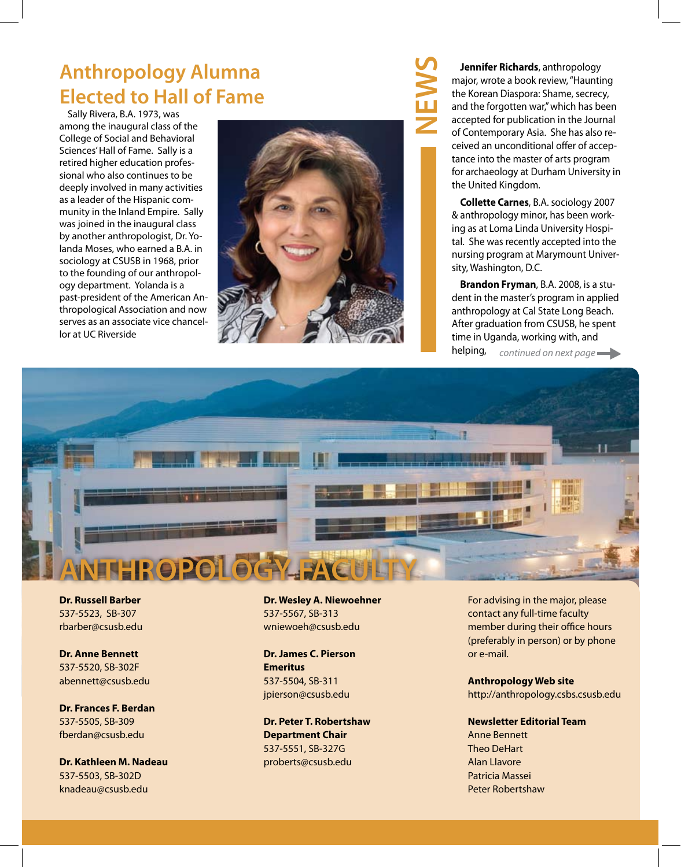### **Anthropology Alumna Elected to Hall of Fame**

Sally Rivera, B.A. 1973, was among the inaugural class of the College of Social and Behavioral Sciences' Hall of Fame. Sally is a retired higher education professional who also continues to be deeply involved in many activities as a leader of the Hispanic community in the Inland Empire. Sally was joined in the inaugural class by another anthropologist, Dr. Yolanda Moses, who earned a B.A. in sociology at CSUSB in 1968, prior to the founding of our anthropology department. Yolanda is a past-president of the American Anthropological Association and now serves as an associate vice chancellor at UC Riverside



**Jennifer Richards**, anthropology major, wrote a book review, "Haunting the Korean Diaspora: Shame, secrecy, and the forgotten war," which has been accepted for publication in the Journal of Contemporary Asia. She has also received an unconditional offer of acceptance into the master of arts program for archaeology at Durham University in the United Kingdom.

**Collette Carnes**, B.A. sociology 2007 & anthropology minor, has been working as at Loma Linda University Hospital. She was recently accepted into the nursing program at Marymount University, Washington, D.C.

**Brandon Fryman**, B.A. 2008, is a student in the master's program in applied anthropology at Cal State Long Beach. After graduation from CSUSB, he spent time in Uganda, working with, and helping, *continued on next page* 



**Dr. Russell Barber** 537-5523, SB-307 rbarber@csusb.edu

**Dr. Anne Bennett** 537-5520, SB-302F abennett@csusb.edu

**Dr. Frances F. Berdan** 537-5505, SB-309 fberdan@csusb.edu

**Dr. Kathleen M. Nadeau** 537-5503, SB-302D knadeau@csusb.edu

**Dr. Wesley A. Niewoehner** 537-5567, SB-313 wniewoeh@csusb.edu

**Dr. James C. Pierson Emeritus** 537-5504, SB-311 jpierson@csusb.edu

**Dr. Peter T. Robertshaw Department Chair** 537-5551, SB-327G proberts@csusb.edu

For advising in the major, please contact any full-time faculty member during their office hours (preferably in person) or by phone or e-mail.

**Anthropology Web site** http://anthropology.csbs.csusb.edu

**Newsletter Editorial Team** Anne Bennett Theo DeHart Alan Llavore Patricia Massei Peter Robertshaw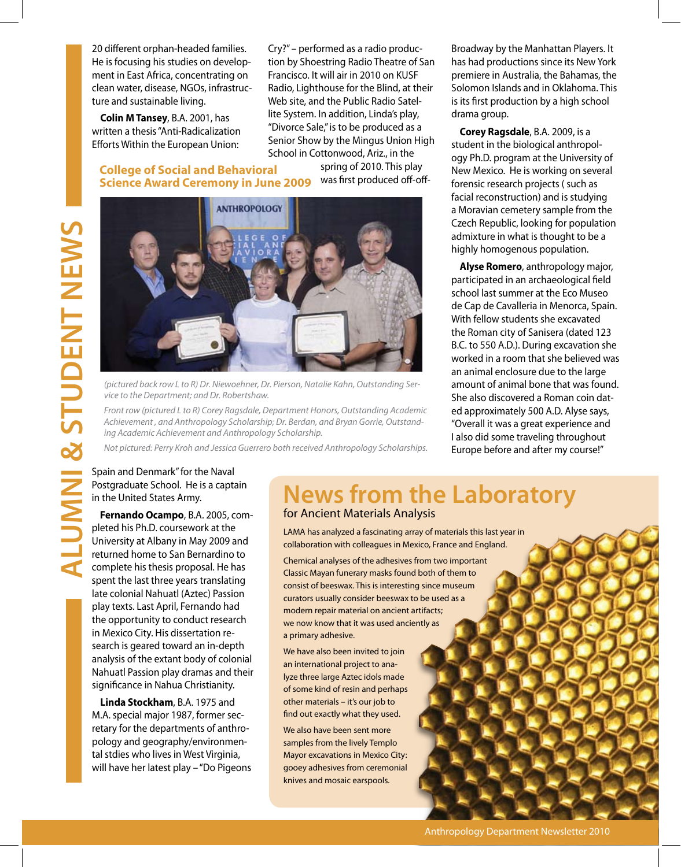20 different orphan-headed families. He is focusing his studies on development in East Africa, concentrating on clean water, disease, NGOs, infrastructure and sustainable living.

**Colin M Tansey**, B.A. 2001, has written a thesis "Anti-Radicalization Efforts Within the European Union:

**College of Social and Behavioral** 

Cry?" – performed as a radio production by Shoestring Radio Theatre of San Francisco. It will air in 2010 on KUSF Radio, Lighthouse for the Blind, at their Web site, and the Public Radio Satellite System. In addition, Linda's play, "Divorce Sale," is to be produced as a Senior Show by the Mingus Union High School in Cottonwood, Ariz., in the

> spring of 2010. This play was first produced off-off-



*(pictured back row L to R) Dr. Niewoehner, Dr. Pierson, Natalie Kahn, Outstanding Service to the Department; and Dr. Robertshaw.*

*Front row (pictured L to R) Corey Ragsdale, Department Honors, Outstanding Academic Achievement , and Anthropology Scholarship; Dr. Berdan, and Bryan Gorrie, Outstanding Academic Achievement and Anthropology Scholarship.*

*Not pictured: Perry Kroh and Jessica Guerrero both received Anthropology Scholarships.*

Broadway by the Manhattan Players. It has had productions since its New York premiere in Australia, the Bahamas, the Solomon Islands and in Oklahoma. This is its first production by a high school drama group.

**Corey Ragsdale**, B.A. 2009, is a student in the biological anthropology Ph.D. program at the University of New Mexico. He is working on several forensic research projects ( such as facial reconstruction) and is studying a Moravian cemetery sample from the Czech Republic, looking for population admixture in what is thought to be a highly homogenous population.

**Alyse Romero**, anthropology major, participated in an archaeological field school last summer at the Eco Museo de Cap de Cavalleria in Menorca, Spain. With fellow students she excavated the Roman city of Sanisera (dated 123 B.C. to 550 A.D.). During excavation she worked in a room that she believed was an animal enclosure due to the large amount of animal bone that was found. She also discovered a Roman coin dated approximately 500 A.D. Alyse says, "Overall it was a great experience and I also did some traveling throughout Europe before and after my course!"

#### Spain and Denmark" for the Naval Postgraduate School. He is a captain in the United States Army.

**Fernando Ocampo**, B.A. 2005, completed his Ph.D. coursework at the University at Albany in May 2009 and returned home to San Bernardino to complete his thesis proposal. He has spent the last three years translating late colonial Nahuatl (Aztec) Passion play texts. Last April, Fernando had the opportunity to conduct research in Mexico City. His dissertation research is geared toward an in-depth analysis of the extant body of colonial Nahuatl Passion play dramas and their significance in Nahua Christianity.

**Linda Stockham**, B.A. 1975 and M.A. special major 1987, former secretary for the departments of anthropology and geography/environmental stdies who lives in West Virginia, will have her latest play – "Do Pigeons

### **News from the Laboratory**  for Ancient Materials Analysis

LAMA has analyzed a fascinating array of materials this last year in collaboration with colleagues in Mexico, France and England.

Chemical analyses of the adhesives from two important Classic Mayan funerary masks found both of them to consist of beeswax. This is interesting since museum curators usually consider beeswax to be used as a modern repair material on ancient artifacts; we now know that it was used anciently as a primary adhesive.

We have also been invited to join an international project to analyze three large Aztec idols made of some kind of resin and perhaps other materials – it's our job to find out exactly what they used.

We also have been sent more samples from the lively Templo Mayor excavations in Mexico City: gooey adhesives from ceremonial knives and mosaic earspools.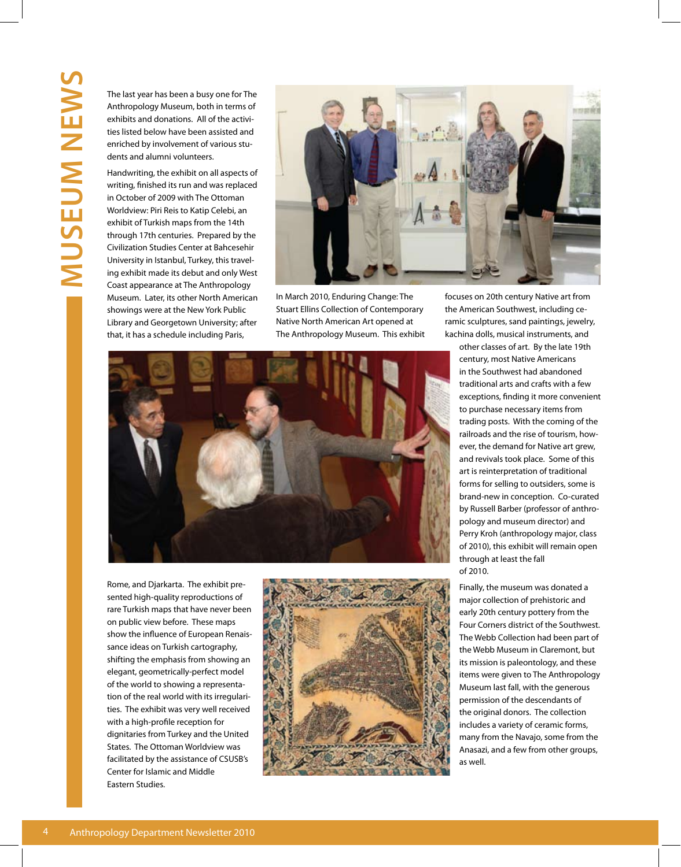Anthropology Museum, both in terms of exhibits and donations. All of the activities listed below have been assisted and enriched by involvement of various students and alumni volunteers.

The last year has been a busy one for The<br>Anthropology Museum, both in terms of<br>exhibits and donations. All of the activi-<br>ties listed below have been assisted and<br>enriched by involvement of various stu-<br>dents and alumni v Handwriting, the exhibit on all aspects of writing, finished its run and was replaced in October of 2009 with The Ottoman Worldview: Piri Reis to Katip Celebi, an exhibit of Turkish maps from the 14th through 17th centuries. Prepared by the Civilization Studies Center at Bahcesehir University in Istanbul, Turkey, this traveling exhibit made its debut and only West Coast appearance at The Anthropology Museum. Later, its other North American showings were at the New York Public Library and Georgetown University; after that, it has a schedule including Paris,



In March 2010, Enduring Change: The Stuart Ellins Collection of Contemporary Native North American Art opened at The Anthropology Museum. This exhibit



Rome, and Djarkarta. The exhibit presented high-quality reproductions of rare Turkish maps that have never been on public view before. These maps show the influence of European Renaissance ideas on Turkish cartography, shifting the emphasis from showing an elegant, geometrically-perfect model of the world to showing a representation of the real world with its irregularities. The exhibit was very well received with a high-profile reception for dignitaries from Turkey and the United States. The Ottoman Worldview was facilitated by the assistance of CSUSB's Center for Islamic and Middle Eastern Studies.



focuses on 20th century Native art from the American Southwest, including ceramic sculptures, sand paintings, jewelry, kachina dolls, musical instruments, and

other classes of art. By the late 19th century, most Native Americans in the Southwest had abandoned traditional arts and crafts with a few exceptions, finding it more convenient to purchase necessary items from trading posts. With the coming of the railroads and the rise of tourism, however, the demand for Native art grew, and revivals took place. Some of this art is reinterpretation of traditional forms for selling to outsiders, some is brand-new in conception. Co-curated by Russell Barber (professor of anthropology and museum director) and Perry Kroh (anthropology major, class of 2010), this exhibit will remain open through at least the fall of 2010.

Finally, the museum was donated a major collection of prehistoric and early 20th century pottery from the Four Corners district of the Southwest. The Webb Collection had been part of the Webb Museum in Claremont, but its mission is paleontology, and these items were given to The Anthropology Museum last fall, with the generous permission of the descendants of the original donors. The collection includes a variety of ceramic forms, many from the Navajo, some from the Anasazi, and a few from other groups, as well.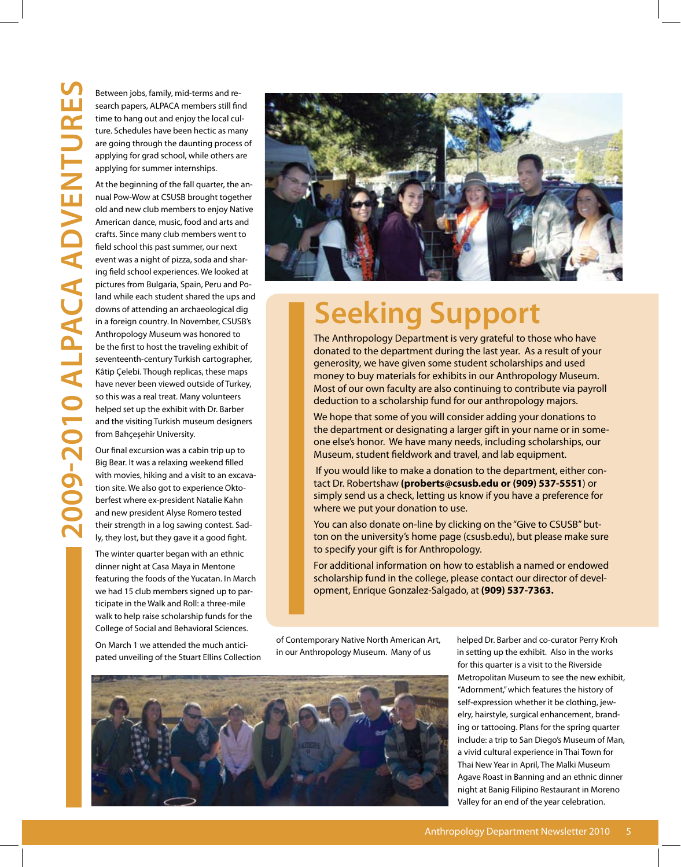Between jobs, family, mid-terms and re-<br>search papers, ALPACA members still fin<br>time to hang out and enjoy the local cul<br>ture. Schedules have been hectic as mar<br>are going through the daunting process<br>applying for grad scho search papers, ALPACA members still find time to hang out and enjoy the local culture. Schedules have been hectic as many are going through the daunting process of applying for grad school, while others are applying for summer internships.

At the beginning of the fall quarter, the annual Pow-Wow at CSUSB brought together old and new club members to enjoy Native American dance, music, food and arts and crafts. Since many club members went to field school this past summer, our next event was a night of pizza, soda and sharing field school experiences. We looked at pictures from Bulgaria, Spain, Peru and Poland while each student shared the ups and downs of attending an archaeological dig in a foreign country. In November, CSUSB's Anthropology Museum was honored to be the first to host the traveling exhibit of seventeenth-century Turkish cartographer, Kâtip Çelebi. Though replicas, these maps have never been viewed outside of Turkey, so this was a real treat. Many volunteers helped set up the exhibit with Dr. Barber and the visiting Turkish museum designers from Bahçeşehir University.

Our final excursion was a cabin trip up to Big Bear. It was a relaxing weekend filled with movies, hiking and a visit to an excavation site. We also got to experience Oktoberfest where ex-president Natalie Kahn and new president Alyse Romero tested their strength in a log sawing contest. Sadly, they lost, but they gave it a good fight.

The winter quarter began with an ethnic dinner night at Casa Maya in Mentone featuring the foods of the Yucatan. In March we had 15 club members signed up to participate in the Walk and Roll: a three-mile walk to help raise scholarship funds for the College of Social and Behavioral Sciences.

On March 1 we attended the much anticipated unveiling of the Stuart Ellins Collection



# **Seeking Support**

The Anthropology Department is very grateful to those who have donated to the department during the last year. As a result of your generosity, we have given some student scholarships and used money to buy materials for exhibits in our Anthropology Museum. Most of our own faculty are also continuing to contribute via payroll deduction to a scholarship fund for our anthropology majors.

We hope that some of you will consider adding your donations to the department or designating a larger gift in your name or in someone else's honor. We have many needs, including scholarships, our Museum, student fieldwork and travel, and lab equipment.

 If you would like to make a donation to the department, either contact Dr. Robertshaw **(proberts@csusb.edu or (909) 537-5551**) or simply send us a check, letting us know if you have a preference for where we put your donation to use.

You can also donate on-line by clicking on the "Give to CSUSB" button on the university's home page (csusb.edu), but please make sure to specify your gift is for Anthropology.

For additional information on how to establish a named or endowed scholarship fund in the college, please contact our director of development, Enrique Gonzalez-Salgado, at **(909) 537-7363.**

of Contemporary Native North American Art, in our Anthropology Museum. Many of us



helped Dr. Barber and co-curator Perry Kroh in setting up the exhibit. Also in the works for this quarter is a visit to the Riverside Metropolitan Museum to see the new exhibit, "Adornment," which features the history of self-expression whether it be clothing, jewelry, hairstyle, surgical enhancement, branding or tattooing. Plans for the spring quarter include: a trip to San Diego's Museum of Man, a vivid cultural experience in Thai Town for Thai New Year in April, The Malki Museum Agave Roast in Banning and an ethnic dinner night at Banig Filipino Restaurant in Moreno Valley for an end of the year celebration.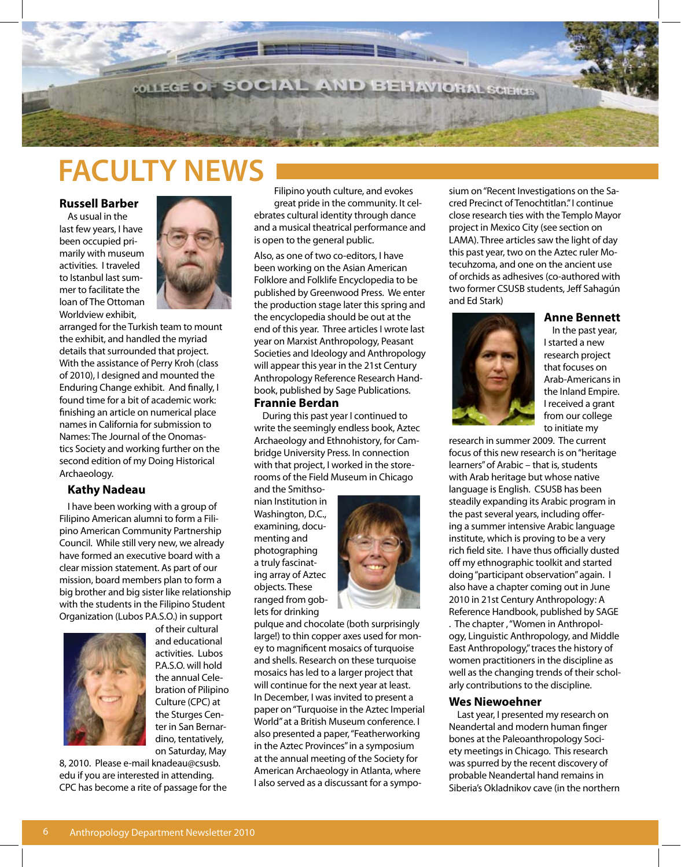

## **FACULTY NEWS**

#### **Russell Barber**

As usual in the last few years, I have been occupied primarily with museum activities. I traveled to Istanbul last summer to facilitate the loan of The Ottoman Worldview exhibit,



arranged for the Turkish team to mount the exhibit, and handled the myriad details that surrounded that project. With the assistance of Perry Kroh (class of 2010), I designed and mounted the Enduring Change exhibit. And finally, I found time for a bit of academic work: finishing an article on numerical place names in California for submission to Names: The Journal of the Onomastics Society and working further on the second edition of my Doing Historical Archaeology.

#### **Kathy Nadeau**

I have been working with a group of Filipino American alumni to form a Filipino American Community Partnership Council. While still very new, we already have formed an executive board with a clear mission statement. As part of our mission, board members plan to form a big brother and big sister like relationship with the students in the Filipino Student Organization (Lubos P.A.S.O.) in support



of their cultural and educational activities. Lubos P.A.S.O. will hold the annual Celebration of Pilipino Culture (CPC) at the Sturges Center in San Bernardino, tentatively, on Saturday, May

8, 2010. Please e-mail knadeau@csusb. edu if you are interested in attending. CPC has become a rite of passage for the

Filipino youth culture, and evokes great pride in the community. It celebrates cultural identity through dance and a musical theatrical performance and is open to the general public.

Also, as one of two co-editors, I have been working on the Asian American Folklore and Folklife Encyclopedia to be published by Greenwood Press. We enter the production stage later this spring and the encyclopedia should be out at the end of this year. Three articles I wrote last year on Marxist Anthropology, Peasant Societies and Ideology and Anthropology will appear this year in the 21st Century Anthropology Reference Research Handbook, published by Sage Publications.

#### **Frannie Berdan**

During this past year I continued to write the seemingly endless book, Aztec Archaeology and Ethnohistory, for Cambridge University Press. In connection with that project, I worked in the storerooms of the Field Museum in Chicago

and the Smithsonian Institution in Washington, D.C., examining, documenting and photographing a truly fascinating array of Aztec objects. These ranged from goblets for drinking



pulque and chocolate (both surprisingly large!) to thin copper axes used for money to magnificent mosaics of turquoise and shells. Research on these turquoise mosaics has led to a larger project that will continue for the next year at least. In December, I was invited to present a paper on "Turquoise in the Aztec Imperial World" at a British Museum conference. I also presented a paper, "Featherworking in the Aztec Provinces" in a symposium at the annual meeting of the Society for American Archaeology in Atlanta, where I also served as a discussant for a symposium on "Recent Investigations on the Sacred Precinct of Tenochtitlan." I continue close research ties with the Templo Mayor project in Mexico City (see section on LAMA). Three articles saw the light of day this past year, two on the Aztec ruler Motecuhzoma, and one on the ancient use of orchids as adhesives (co-authored with two former CSUSB students, Jeff Sahagún and Ed Stark)

#### **Anne Bennett**



In the past year, I started a new research project that focuses on Arab-Americans in the Inland Empire. I received a grant from our college to initiate my

research in summer 2009. The current focus of this new research is on "heritage learners" of Arabic – that is, students with Arab heritage but whose native language is English. CSUSB has been steadily expanding its Arabic program in the past several years, including offering a summer intensive Arabic language institute, which is proving to be a very rich field site. I have thus officially dusted off my ethnographic toolkit and started doing "participant observation" again. I also have a chapter coming out in June 2010 in 21st Century Anthropology: A Reference Handbook, published by SAGE . The chapter , "Women in Anthropology, Linguistic Anthropology, and Middle East Anthropology," traces the history of women practitioners in the discipline as well as the changing trends of their scholarly contributions to the discipline.

#### **Wes Niewoehner**

Last year, I presented my research on Neandertal and modern human finger bones at the Paleoanthropology Society meetings in Chicago. This research was spurred by the recent discovery of probable Neandertal hand remains in Siberia's Okladnikov cave (in the northern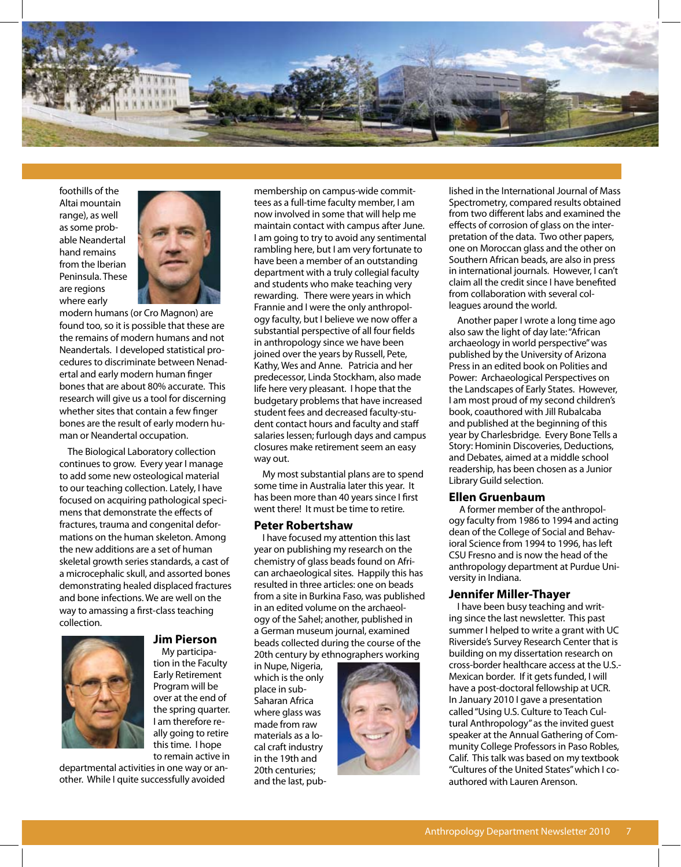

foothills of the Altai mountain range), as well as some probable Neandertal hand remains from the Iberian Peninsula. These are regions where early



modern humans (or Cro Magnon) are found too, so it is possible that these are the remains of modern humans and not Neandertals. I developed statistical procedures to discriminate between Nenadertal and early modern human finger bones that are about 80% accurate. This research will give us a tool for discerning whether sites that contain a few finger bones are the result of early modern human or Neandertal occupation.

The Biological Laboratory collection continues to grow. Every year I manage to add some new osteological material to our teaching collection. Lately, I have focused on acquiring pathological specimens that demonstrate the effects of fractures, trauma and congenital deformations on the human skeleton. Among the new additions are a set of human skeletal growth series standards, a cast of a microcephalic skull, and assorted bones demonstrating healed displaced fractures and bone infections. We are well on the way to amassing a first-class teaching collection.



### **Jim Pierson**

My participation in the Faculty Early Retirement Program will be over at the end of the spring quarter. I am therefore really going to retire this time. I hope to remain active in

departmental activities in one way or another. While I quite successfully avoided

membership on campus-wide committees as a full-time faculty member, I am now involved in some that will help me maintain contact with campus after June. I am going to try to avoid any sentimental rambling here, but I am very fortunate to have been a member of an outstanding department with a truly collegial faculty and students who make teaching very rewarding. There were years in which Frannie and I were the only anthropology faculty, but I believe we now offer a substantial perspective of all four fields in anthropology since we have been joined over the years by Russell, Pete, Kathy, Wes and Anne. Patricia and her predecessor, Linda Stockham, also made life here very pleasant. I hope that the budgetary problems that have increased student fees and decreased faculty-student contact hours and faculty and staff salaries lessen; furlough days and campus closures make retirement seem an easy way out.

My most substantial plans are to spend some time in Australia later this year. It has been more than 40 years since I first went there! It must be time to retire.

#### **Peter Robertshaw**

I have focused my attention this last year on publishing my research on the chemistry of glass beads found on African archaeological sites. Happily this has resulted in three articles: one on beads from a site in Burkina Faso, was published in an edited volume on the archaeology of the Sahel; another, published in a German museum journal, examined beads collected during the course of the 20th century by ethnographers working

in Nupe, Nigeria, which is the only place in sub-Saharan Africa where glass was made from raw materials as a local craft industry in the 19th and 20th centuries; and the last, pub-



lished in the International Journal of Mass Spectrometry, compared results obtained from two different labs and examined the effects of corrosion of glass on the interpretation of the data. Two other papers, one on Moroccan glass and the other on Southern African beads, are also in press in international journals. However, I can't claim all the credit since I have benefited from collaboration with several colleagues around the world.

Another paper I wrote a long time ago also saw the light of day late: "African archaeology in world perspective" was published by the University of Arizona Press in an edited book on Polities and Power: Archaeological Perspectives on the Landscapes of Early States. However, I am most proud of my second children's book, coauthored with Jill Rubalcaba and published at the beginning of this year by Charlesbridge. Every Bone Tells a Story: Hominin Discoveries, Deductions, and Debates, aimed at a middle school readership, has been chosen as a Junior Library Guild selection.

#### **Ellen Gruenbaum**

 A former member of the anthropology faculty from 1986 to 1994 and acting dean of the College of Social and Behavioral Science from 1994 to 1996, has left CSU Fresno and is now the head of the anthropology department at Purdue University in Indiana.

#### **Jennifer Miller-Thayer**

I have been busy teaching and writing since the last newsletter. This past summer I helped to write a grant with UC Riverside's Survey Research Center that is building on my dissertation research on cross-border healthcare access at the U.S.- Mexican border. If it gets funded, I will have a post-doctoral fellowship at UCR. In January 2010 I gave a presentation called "Using U.S. Culture to Teach Cultural Anthropology" as the invited guest speaker at the Annual Gathering of Community College Professors in Paso Robles, Calif. This talk was based on my textbook "Cultures of the United States" which I coauthored with Lauren Arenson.